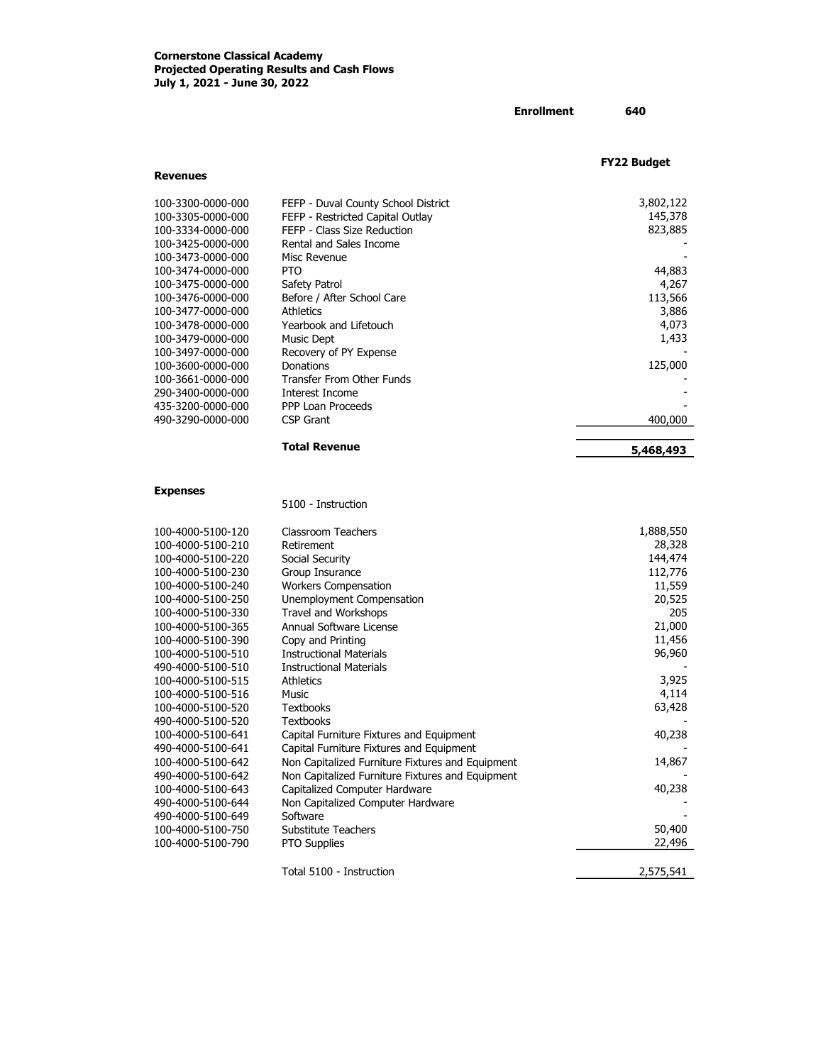Revenues

# Enrollment 640

FY22 Budget

| 100-3300-0000-000<br>100-3305-0000-000 | FEFP - Duval County School District<br>FEFP - Restricted Capital Outlay | 3,802,122<br>145,378 |
|----------------------------------------|-------------------------------------------------------------------------|----------------------|
| 100-3334-0000-000                      | FEFP - Class Size Reduction                                             | 823,885              |
| 100-3425-0000-000                      | Rental and Sales Income                                                 |                      |
| 100-3473-0000-000                      | Misc Revenue                                                            |                      |
| 100-3474-0000-000                      | <b>PTO</b>                                                              | 44,883               |
| 100-3475-0000-000                      | Safety Patrol                                                           | 4,267                |
| 100-3476-0000-000                      | Before / After School Care                                              | 113,566              |
| 100-3477-0000-000                      | <b>Athletics</b>                                                        | 3,886                |
| 100-3478-0000-000                      | Yearbook and Lifetouch                                                  | 4,073                |
| 100-3479-0000-000                      | Music Dept                                                              | 1,433                |
| 100-3497-0000-000                      | Recovery of PY Expense                                                  |                      |
| 100-3600-0000-000                      | Donations                                                               | 125,000              |
| 100-3661-0000-000                      | Transfer From Other Funds                                               |                      |
| 290-3400-0000-000                      | Interest Income                                                         |                      |
| 435-3200-0000-000                      | PPP Loan Proceeds                                                       |                      |
| 490-3290-0000-000                      | CSP Grant                                                               | 400,000              |
|                                        | <b>Total Revenue</b>                                                    | 5,468,493            |
| <b>Expenses</b>                        |                                                                         |                      |
|                                        | 5100 - Instruction                                                      |                      |
| 100-4000-5100-120                      | Classroom Teachers                                                      | 1,888,550            |
| 100-4000-5100-210                      | Retirement                                                              | 28,328               |
| 100-4000-5100-220                      | Social Security                                                         | 144,474              |
| 100-4000-5100-230                      | Group Insurance                                                         | 112,776              |
| 100-4000-5100-240                      | <b>Workers Compensation</b>                                             | 11,559               |
| 100-4000-5100-250                      | Unemployment Compensation                                               | 20,525               |
| 100-4000-5100-330                      | Travel and Workshops                                                    | 205                  |
| 100-4000-5100-365                      | Annual Software License                                                 | 21,000               |
| 100-4000-5100-390                      | Copy and Printing                                                       | 11,456               |
| 100-4000-5100-510                      | <b>Instructional Materials</b>                                          | 96,960               |
| 490-4000-5100-510                      | <b>Instructional Materials</b>                                          |                      |
| 100-4000-5100-515                      | <b>Athletics</b><br>Music                                               | 3,925                |
| 100-4000-5100-516                      |                                                                         | 4,114<br>63,428      |
| 100-4000-5100-520                      | <b>Textbooks</b>                                                        |                      |
| 490-4000-5100-520                      | <b>Textbooks</b>                                                        |                      |
| 100-4000-5100-641                      | Capital Furniture Fixtures and Equipment                                | 40,238               |
| 490-4000-5100-641                      | Capital Furniture Fixtures and Equipment                                |                      |
| 100-4000-5100-642                      | Non Capitalized Furniture Fixtures and Equipment                        | 14,867               |
| 490-4000-5100-642                      | Non Capitalized Furniture Fixtures and Equipment                        | 40,238               |
| 100-4000-5100-643                      | Capitalized Computer Hardware                                           |                      |
| 490-4000-5100-644<br>490-4000-5100-649 | Non Capitalized Computer Hardware<br>Software                           |                      |
| 100-4000-5100-750                      | Substitute Teachers                                                     | 50,400               |
|                                        |                                                                         | 22,496               |
| 100-4000-5100-790                      | <b>PTO Supplies</b>                                                     |                      |

Total 5100 - Instruction 2,575,541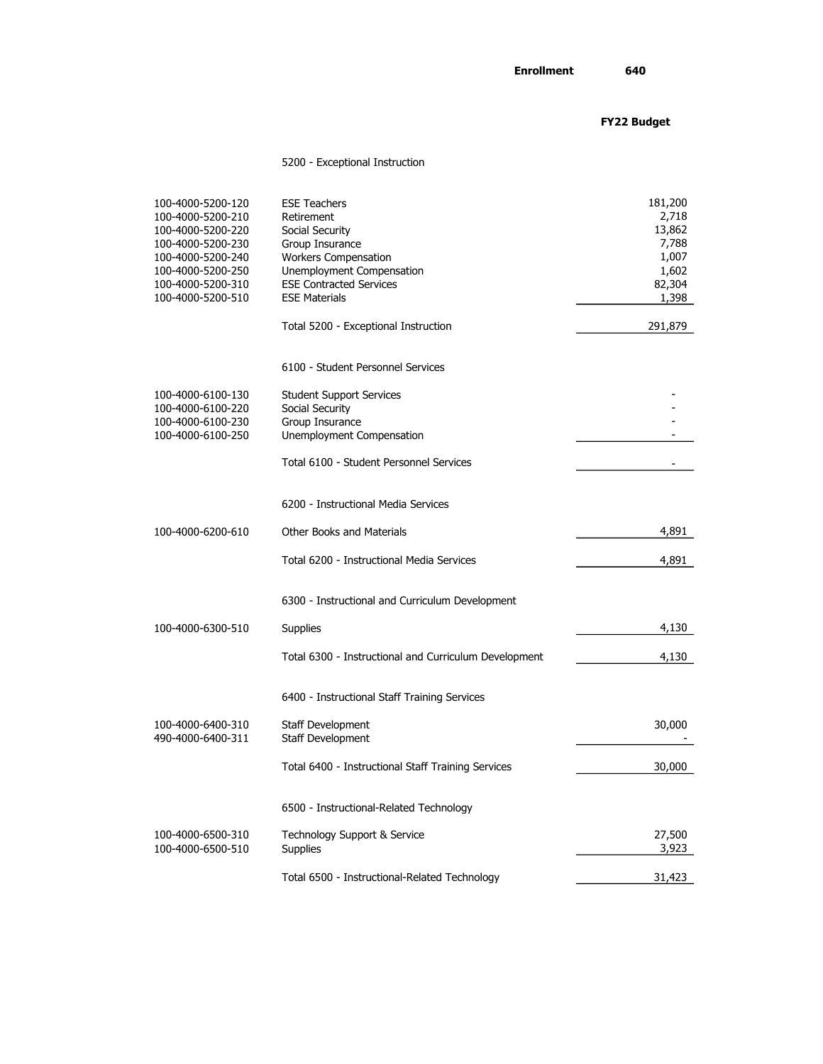# FY22 Budget

### 5200 - Exceptional Instruction

| 100-4000-5200-120<br>100-4000-5200-210<br>100-4000-5200-220<br>100-4000-5200-230<br>100-4000-5200-240<br>100-4000-5200-250<br>100-4000-5200-310<br>100-4000-5200-510 | <b>ESE Teachers</b><br>Retirement<br>Social Security<br>Group Insurance<br><b>Workers Compensation</b><br>Unemployment Compensation<br><b>ESE Contracted Services</b><br><b>ESE Materials</b> | 181,200<br>2,718<br>13,862<br>7,788<br>1,007<br>1,602<br>82,304<br>1,398 |
|----------------------------------------------------------------------------------------------------------------------------------------------------------------------|-----------------------------------------------------------------------------------------------------------------------------------------------------------------------------------------------|--------------------------------------------------------------------------|
|                                                                                                                                                                      | Total 5200 - Exceptional Instruction                                                                                                                                                          | 291,879                                                                  |
|                                                                                                                                                                      | 6100 - Student Personnel Services                                                                                                                                                             |                                                                          |
| 100-4000-6100-130<br>100-4000-6100-220                                                                                                                               | <b>Student Support Services</b><br>Social Security                                                                                                                                            |                                                                          |
| 100-4000-6100-230                                                                                                                                                    | Group Insurance                                                                                                                                                                               |                                                                          |
| 100-4000-6100-250                                                                                                                                                    | Unemployment Compensation                                                                                                                                                                     |                                                                          |
|                                                                                                                                                                      | Total 6100 - Student Personnel Services                                                                                                                                                       |                                                                          |
|                                                                                                                                                                      | 6200 - Instructional Media Services                                                                                                                                                           |                                                                          |
| 100-4000-6200-610                                                                                                                                                    | <b>Other Books and Materials</b>                                                                                                                                                              | 4,891                                                                    |
|                                                                                                                                                                      | Total 6200 - Instructional Media Services                                                                                                                                                     | 4,891                                                                    |
|                                                                                                                                                                      | 6300 - Instructional and Curriculum Development                                                                                                                                               |                                                                          |
| 100-4000-6300-510                                                                                                                                                    | Supplies                                                                                                                                                                                      | 4,130                                                                    |
|                                                                                                                                                                      | Total 6300 - Instructional and Curriculum Development                                                                                                                                         | 4,130                                                                    |
|                                                                                                                                                                      | 6400 - Instructional Staff Training Services                                                                                                                                                  |                                                                          |
| 100-4000-6400-310                                                                                                                                                    | Staff Development                                                                                                                                                                             | 30,000                                                                   |
| 490-4000-6400-311                                                                                                                                                    | Staff Development<br>Total 6400 - Instructional Staff Training Services                                                                                                                       | 30,000                                                                   |
|                                                                                                                                                                      | 6500 - Instructional-Related Technology                                                                                                                                                       |                                                                          |
| 100-4000-6500-310<br>100-4000-6500-510                                                                                                                               | Technology Support & Service<br><b>Supplies</b>                                                                                                                                               | 27,500<br>3,923                                                          |
|                                                                                                                                                                      | Total 6500 - Instructional-Related Technology                                                                                                                                                 | 31,423                                                                   |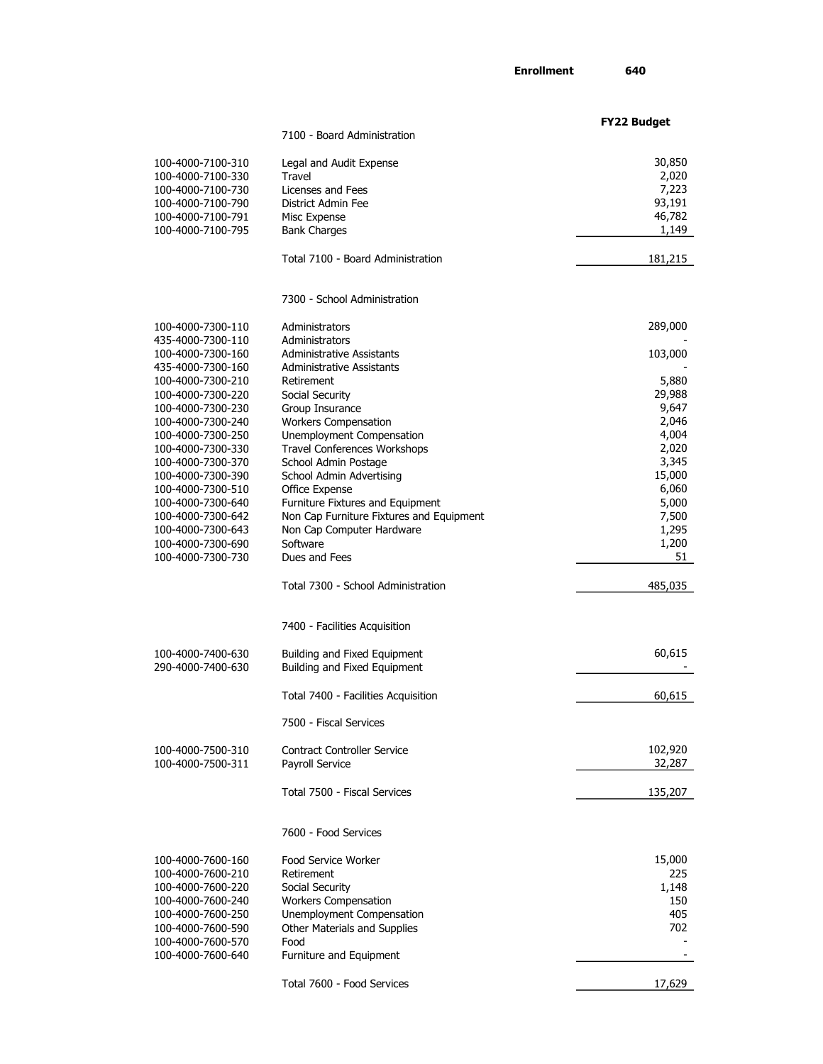Enrollment 640

|                                        |                                          | <b>FY22 Budget</b> |
|----------------------------------------|------------------------------------------|--------------------|
|                                        | 7100 - Board Administration              |                    |
| 100-4000-7100-310                      |                                          |                    |
|                                        | Legal and Audit Expense<br>Travel        | 30,850<br>2,020    |
| 100-4000-7100-330                      | Licenses and Fees                        | 7,223              |
| 100-4000-7100-730<br>100-4000-7100-790 | District Admin Fee                       | 93,191             |
| 100-4000-7100-791                      | Misc Expense                             | 46,782             |
| 100-4000-7100-795                      | <b>Bank Charges</b>                      | 1,149              |
|                                        |                                          |                    |
|                                        | Total 7100 - Board Administration        | 181,215            |
|                                        | 7300 - School Administration             |                    |
| 100-4000-7300-110                      | Administrators                           | 289,000            |
| 435-4000-7300-110                      | Administrators                           |                    |
| 100-4000-7300-160                      | Administrative Assistants                | 103,000            |
| 435-4000-7300-160                      | <b>Administrative Assistants</b>         |                    |
| 100-4000-7300-210                      | Retirement                               | 5,880              |
| 100-4000-7300-220                      | Social Security                          | 29,988             |
| 100-4000-7300-230                      | Group Insurance                          | 9,647              |
| 100-4000-7300-240                      | <b>Workers Compensation</b>              | 2,046              |
| 100-4000-7300-250                      | Unemployment Compensation                | 4,004              |
| 100-4000-7300-330                      | Travel Conferences Workshops             | 2,020              |
| 100-4000-7300-370                      | School Admin Postage                     | 3,345              |
| 100-4000-7300-390                      | School Admin Advertising                 | 15,000             |
| 100-4000-7300-510                      | Office Expense                           | 6,060              |
| 100-4000-7300-640                      | Furniture Fixtures and Equipment         | 5,000              |
| 100-4000-7300-642                      | Non Cap Furniture Fixtures and Equipment | 7,500              |
| 100-4000-7300-643                      | Non Cap Computer Hardware                | 1,295              |
| 100-4000-7300-690                      | Software                                 | 1,200              |
| 100-4000-7300-730                      | Dues and Fees                            | 51                 |
|                                        | Total 7300 - School Administration       | 485,035            |
|                                        | 7400 - Facilities Acquisition            |                    |
| 100-4000-7400-630                      | Building and Fixed Equipment             | 60,615             |
| 290-4000-7400-630                      | Building and Fixed Equipment             |                    |
|                                        | Total 7400 - Facilities Acquisition      | 60,615             |
|                                        | 7500 - Fiscal Services                   |                    |
| 100-4000-7500-310                      | <b>Contract Controller Service</b>       | 102,920            |
| 100-4000-7500-311                      | Payroll Service                          | 32,287             |
|                                        | Total 7500 - Fiscal Services             | 135,207            |
|                                        | 7600 - Food Services                     |                    |
| 100-4000-7600-160                      | Food Service Worker                      | 15,000             |
| 100-4000-7600-210                      | Retirement                               | 225                |
| 100-4000-7600-220                      | Social Security                          | 1,148              |
| 100-4000-7600-240                      | <b>Workers Compensation</b>              | 150                |
| 100-4000-7600-250                      | Unemployment Compensation                | 405                |
| 100-4000-7600-590                      | Other Materials and Supplies             | 702                |
| 100-4000-7600-570                      | Food                                     |                    |
| 100-4000-7600-640                      | Furniture and Equipment                  |                    |
|                                        | Total 7600 - Food Services               | 17,629             |
|                                        |                                          |                    |